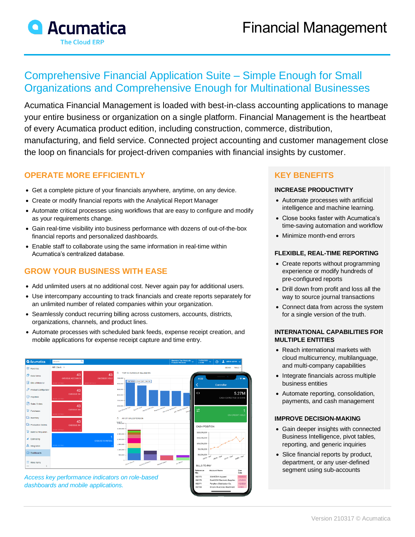

# Comprehensive Financial Application Suite – Simple Enough for Small Organizations and Comprehensive Enough for Multinational Businesses

Acumatica Financial Management is loaded with best-in-class accounting applications to manage your entire business or organization on a single platform. Financial Management is the heartbeat of every Acumatica product edition, including construction, commerce, distribution, manufacturing, and field service. Connected project accounting and customer management close the loop on financials for project-driven companies with financial insights by customer.

## **OPERATE MORE EFFICIENTLY**

- Get a complete picture of your financials anywhere, anytime, on any device.
- Create or modify financial reports with the Analytical Report Manager
- Automate critical processes using workflows that are easy to configure and modify as your requirements change.
- Gain real-time visibility into business performance with dozens of out-of-the-box financial reports and personalized dashboards.
- Enable staff to collaborate using the same information in real-time within Acumatica's centralized database.

# **GROW YOUR BUSINESS WITH EASE**

- Add unlimited users at no additional cost. Never again pay for additional users.
- Use intercompany accounting to track financials and create reports separately for an unlimited number of related companies within your organization.
- Seamlessly conduct recurring billing across customers, accounts, districts, organizations, channels, and product lines.
- Automate processes with scheduled bank feeds, expense receipt creation, and mobile applications for expense receipt capture and time entry.



*Access key performance indicators on role-based dashboards and mobile applications.*

## **KEY BENEFITS**

#### **INCREASE PRODUCTIVITY**

- Automate processes with artificial intelligence and machine learning.
- Close books faster with Acumatica's time-saving automation and workflow
- Minimize month-end errors

#### **FLEXIBLE, REAL-TIME REPORTING**

- Create reports without programming experience or modify hundreds of pre-configured reports
- Drill down from profit and loss all the way to source journal transactions
- Connect data from across the system for a single version of the truth.

#### **INTERNATIONAL CAPABILITIES FOR MULTIPLE ENTITIES**

- Reach international markets with cloud multicurrency, multilanguage, and multi-company capabilities
- Integrate financials across multiple business entities
- Automate reporting, consolidation, payments, and cash management

#### **IMPROVE DECISION-MAKING**

- Gain deeper insights with connected Business Intelligence, pivot tables, reporting, and generic inquiries
- Slice financial reports by product, department, or any user-defined segment using sub-accounts